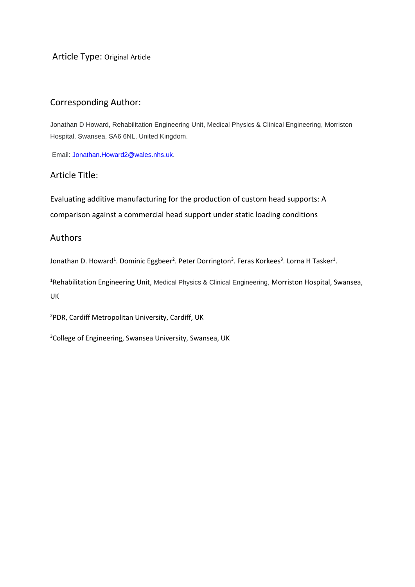Article Type: Original Article

# Corresponding Author:

Jonathan D Howard, Rehabilitation Engineering Unit, Medical Physics & Clinical Engineering, Morriston Hospital, Swansea, SA6 6NL, United Kingdom.

Email[: Jonathan.Howard2@wales.nhs.uk.](mailto:Jonathan.Howard2@wales.nhs.uk)

## Article Title:

Evaluating additive manufacturing for the production of custom head supports: A comparison against a commercial head support under static loading conditions

## Authors

Jonathan D. Howard<sup>1</sup>. Dominic Eggbeer<sup>2</sup>. Peter Dorrington<sup>3</sup>. Feras Korkees<sup>3</sup>. Lorna H Tasker<sup>1</sup>.

<sup>1</sup>Rehabilitation Engineering Unit, Medical Physics & Clinical Engineering, Morriston Hospital, Swansea, UK

<sup>2</sup>PDR, Cardiff Metropolitan University, Cardiff, UK

<sup>3</sup>College of Engineering, Swansea University, Swansea, UK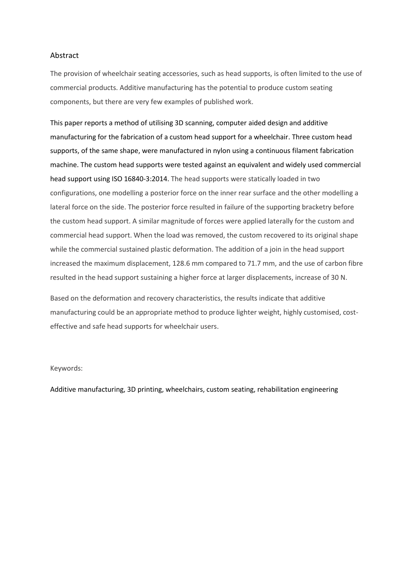### Abstract

The provision of wheelchair seating accessories, such as head supports, is often limited to the use of commercial products. Additive manufacturing has the potential to produce custom seating components, but there are very few examples of published work.

This paper reports a method of utilising 3D scanning, computer aided design and additive manufacturing for the fabrication of a custom head support for a wheelchair. Three custom head supports, of the same shape, were manufactured in nylon using a continuous filament fabrication machine. The custom head supports were tested against an equivalent and widely used commercial head support using ISO 16840-3:2014. The head supports were statically loaded in two configurations, one modelling a posterior force on the inner rear surface and the other modelling a lateral force on the side. The posterior force resulted in failure of the supporting bracketry before the custom head support. A similar magnitude of forces were applied laterally for the custom and commercial head support. When the load was removed, the custom recovered to its original shape while the commercial sustained plastic deformation. The addition of a join in the head support increased the maximum displacement, 128.6 mm compared to 71.7 mm, and the use of carbon fibre resulted in the head support sustaining a higher force at larger displacements, increase of 30 N.

Based on the deformation and recovery characteristics, the results indicate that additive manufacturing could be an appropriate method to produce lighter weight, highly customised, costeffective and safe head supports for wheelchair users.

#### Keywords:

Additive manufacturing, 3D printing, wheelchairs, custom seating, rehabilitation engineering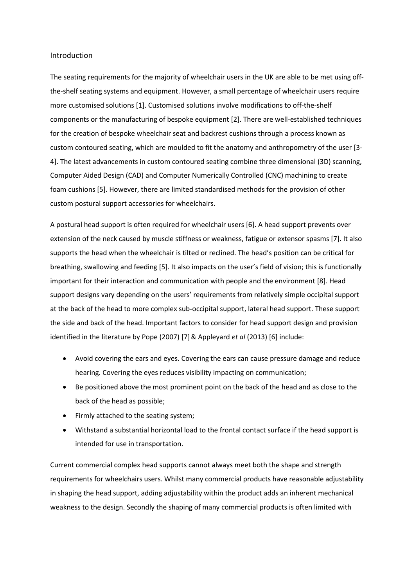#### Introduction

The seating requirements for the majority of wheelchair users in the UK are able to be met using offthe-shelf seating systems and equipment. However, a small percentage of wheelchair users require more customised solutions [1]. Customised solutions involve modifications to off-the-shelf components or the manufacturing of bespoke equipment [2]. There are well-established techniques for the creation of bespoke wheelchair seat and backrest cushions through a process known as custom contoured seating, which are moulded to fit the anatomy and anthropometry of the user [3- 4]. The latest advancements in custom contoured seating combine three dimensional (3D) scanning, Computer Aided Design (CAD) and Computer Numerically Controlled (CNC) machining to create foam cushions [5]. However, there are limited standardised methods for the provision of other custom postural support accessories for wheelchairs.

A postural head support is often required for wheelchair users [6]. A head support prevents over extension of the neck caused by muscle stiffness or weakness, fatigue or extensor spasms [7]. It also supports the head when the wheelchair is tilted or reclined. The head's position can be critical for breathing, swallowing and feeding [5]. It also impacts on the user's field of vision; this is functionally important for their interaction and communication with people and the environment [8]. Head support designs vary depending on the users' requirements from relatively simple occipital support at the back of the head to more complex sub-occipital support, lateral head support. These support the side and back of the head. Important factors to consider for head support design and provision identified in the literature by Pope (2007) [7]& Appleyard *et al* (2013) [6] include:

- Avoid covering the ears and eyes. Covering the ears can cause pressure damage and reduce hearing. Covering the eyes reduces visibility impacting on communication;
- Be positioned above the most prominent point on the back of the head and as close to the back of the head as possible;
- Firmly attached to the seating system;
- Withstand a substantial horizontal load to the frontal contact surface if the head support is intended for use in transportation.

Current commercial complex head supports cannot always meet both the shape and strength requirements for wheelchairs users. Whilst many commercial products have reasonable adjustability in shaping the head support, adding adjustability within the product adds an inherent mechanical weakness to the design. Secondly the shaping of many commercial products is often limited with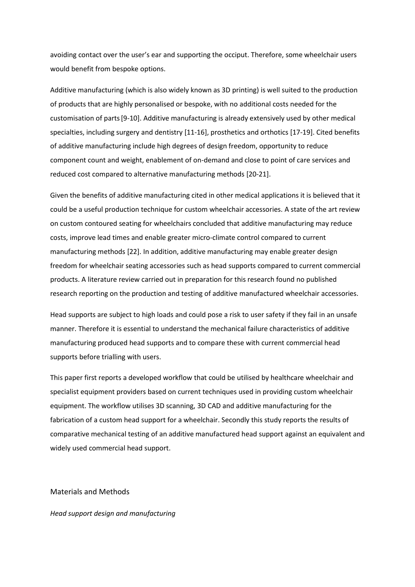avoiding contact over the user's ear and supporting the occiput. Therefore, some wheelchair users would benefit from bespoke options.

Additive manufacturing (which is also widely known as 3D printing) is well suited to the production of products that are highly personalised or bespoke, with no additional costs needed for the customisation of parts[9-10]. Additive manufacturing is already extensively used by other medical specialties, including surgery and dentistry [11-16], prosthetics and orthotics [17-19]. Cited benefits of additive manufacturing include high degrees of design freedom, opportunity to reduce component count and weight, enablement of on-demand and close to point of care services and reduced cost compared to alternative manufacturing methods [20-21].

Given the benefits of additive manufacturing cited in other medical applications it is believed that it could be a useful production technique for custom wheelchair accessories. A state of the art review on custom contoured seating for wheelchairs concluded that additive manufacturing may reduce costs, improve lead times and enable greater micro-climate control compared to current manufacturing methods [22]. In addition, additive manufacturing may enable greater design freedom for wheelchair seating accessories such as head supports compared to current commercial products. A literature review carried out in preparation for this research found no published research reporting on the production and testing of additive manufactured wheelchair accessories.

Head supports are subject to high loads and could pose a risk to user safety if they fail in an unsafe manner. Therefore it is essential to understand the mechanical failure characteristics of additive manufacturing produced head supports and to compare these with current commercial head supports before trialling with users.

This paper first reports a developed workflow that could be utilised by healthcare wheelchair and specialist equipment providers based on current techniques used in providing custom wheelchair equipment. The workflow utilises 3D scanning, 3D CAD and additive manufacturing for the fabrication of a custom head support for a wheelchair. Secondly this study reports the results of comparative mechanical testing of an additive manufactured head support against an equivalent and widely used commercial head support.

## Materials and Methods

#### *Head support design and manufacturing*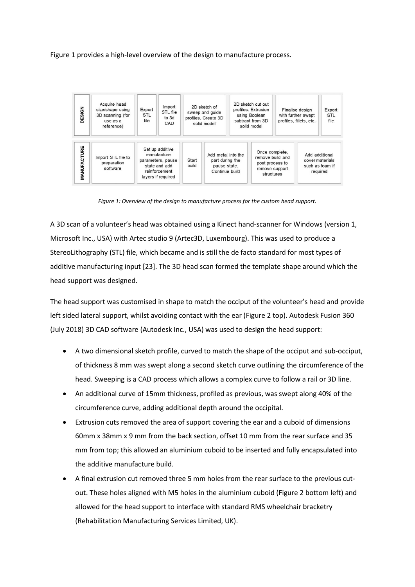Figure 1 provides a high-level overview of the design to manufacture process.



*Figure 1: Overview of the design to manufacture process for the custom head support.*

A 3D scan of a volunteer's head was obtained using a Kinect hand-scanner for Windows (version 1, Microsoft Inc., USA) with Artec studio 9 (Artec3D, Luxembourg). This was used to produce a StereoLithography (STL) file, which became and is still the de facto standard for most types of additive manufacturing input [23]. The 3D head scan formed the template shape around which the head support was designed.

The head support was customised in shape to match the occiput of the volunteer's head and provide left sided lateral support, whilst avoiding contact with the ear (Figure 2 top). Autodesk Fusion 360 (July 2018) 3D CAD software (Autodesk Inc., USA) was used to design the head support:

- A two dimensional sketch profile, curved to match the shape of the occiput and sub-occiput, of thickness 8 mm was swept along a second sketch curve outlining the circumference of the head. Sweeping is a CAD process which allows a complex curve to follow a rail or 3D line.
- An additional curve of 15mm thickness, profiled as previous, was swept along 40% of the circumference curve, adding additional depth around the occipital.
- Extrusion cuts removed the area of support covering the ear and a cuboid of dimensions 60mm x 38mm x 9 mm from the back section, offset 10 mm from the rear surface and 35 mm from top; this allowed an aluminium cuboid to be inserted and fully encapsulated into the additive manufacture build.
- A final extrusion cut removed three 5 mm holes from the rear surface to the previous cutout. These holes aligned with M5 holes in the aluminium cuboid (Figure 2 bottom left) and allowed for the head support to interface with standard RMS wheelchair bracketry (Rehabilitation Manufacturing Services Limited, UK).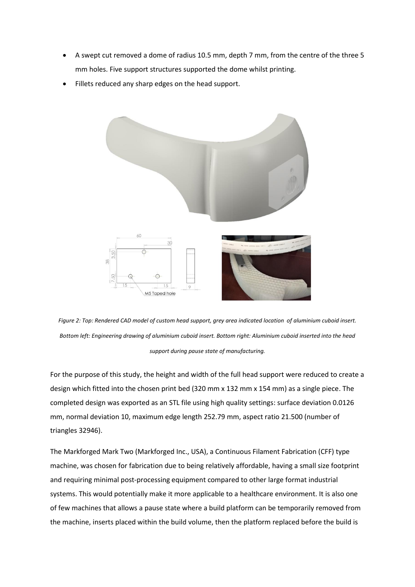- A swept cut removed a dome of radius 10.5 mm, depth 7 mm, from the centre of the three 5 mm holes. Five support structures supported the dome whilst printing.
- Fillets reduced any sharp edges on the head support.



*Figure 2: Top: Rendered CAD model of custom head support, grey area indicated location of aluminium cuboid insert. Bottom left: Engineering drawing of aluminium cuboid insert. Bottom right: Aluminium cuboid inserted into the head support during pause state of manufacturing.* 

For the purpose of this study, the height and width of the full head support were reduced to create a design which fitted into the chosen print bed (320 mm x 132 mm x 154 mm) as a single piece. The completed design was exported as an STL file using high quality settings: surface deviation 0.0126 mm, normal deviation 10, maximum edge length 252.79 mm, aspect ratio 21.500 (number of triangles 32946).

The Markforged Mark Two (Markforged Inc., USA), a Continuous Filament Fabrication (CFF) type machine, was chosen for fabrication due to being relatively affordable, having a small size footprint and requiring minimal post-processing equipment compared to other large format industrial systems. This would potentially make it more applicable to a healthcare environment. It is also one of few machines that allows a pause state where a build platform can be temporarily removed from the machine, inserts placed within the build volume, then the platform replaced before the build is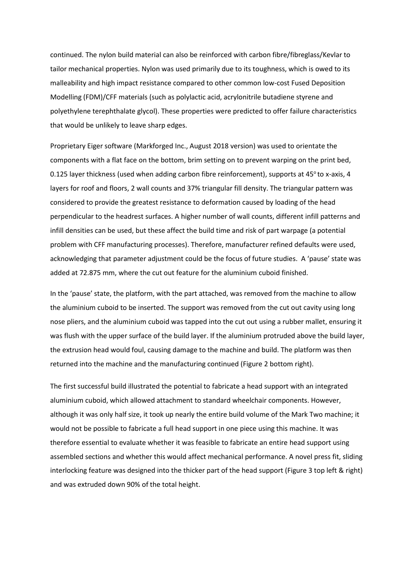continued. The nylon build material can also be reinforced with carbon fibre/fibreglass/Kevlar to tailor mechanical properties. Nylon was used primarily due to its toughness, which is owed to its malleability and high impact resistance compared to other common low-cost Fused Deposition Modelling (FDM)/CFF materials (such as polylactic acid, acrylonitrile butadiene styrene and polyethylene terephthalate glycol). These properties were predicted to offer failure characteristics that would be unlikely to leave sharp edges.

Proprietary Eiger software (Markforged Inc., August 2018 version) was used to orientate the components with a flat face on the bottom, brim setting on to prevent warping on the print bed, 0.125 layer thickness (used when adding carbon fibre reinforcement), supports at 45° to x-axis, 4 layers for roof and floors, 2 wall counts and 37% triangular fill density. The triangular pattern was considered to provide the greatest resistance to deformation caused by loading of the head perpendicular to the headrest surfaces. A higher number of wall counts, different infill patterns and infill densities can be used, but these affect the build time and risk of part warpage (a potential problem with CFF manufacturing processes). Therefore, manufacturer refined defaults were used, acknowledging that parameter adjustment could be the focus of future studies. A 'pause' state was added at 72.875 mm, where the cut out feature for the aluminium cuboid finished.

In the 'pause' state, the platform, with the part attached, was removed from the machine to allow the aluminium cuboid to be inserted. The support was removed from the cut out cavity using long nose pliers, and the aluminium cuboid was tapped into the cut out using a rubber mallet, ensuring it was flush with the upper surface of the build layer. If the aluminium protruded above the build layer, the extrusion head would foul, causing damage to the machine and build. The platform was then returned into the machine and the manufacturing continued (Figure 2 bottom right).

The first successful build illustrated the potential to fabricate a head support with an integrated aluminium cuboid, which allowed attachment to standard wheelchair components. However, although it was only half size, it took up nearly the entire build volume of the Mark Two machine; it would not be possible to fabricate a full head support in one piece using this machine. It was therefore essential to evaluate whether it was feasible to fabricate an entire head support using assembled sections and whether this would affect mechanical performance. A novel press fit, sliding interlocking feature was designed into the thicker part of the head support (Figure 3 top left & right) and was extruded down 90% of the total height.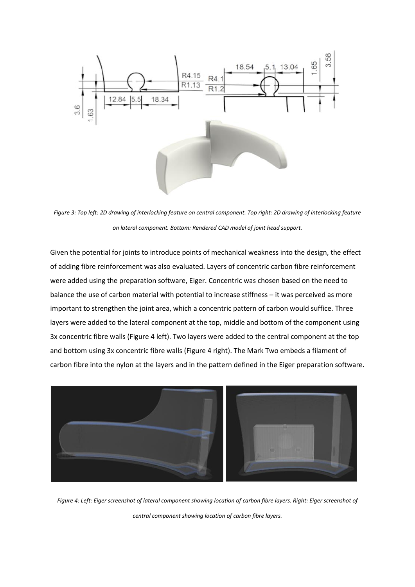

*Figure 3: Top left: 2D drawing of interlocking feature on central component. Top right: 2D drawing of interlocking feature on lateral component. Bottom: Rendered CAD model of joint head support.* 

Given the potential for joints to introduce points of mechanical weakness into the design, the effect of adding fibre reinforcement was also evaluated. Layers of concentric carbon fibre reinforcement were added using the preparation software, Eiger. Concentric was chosen based on the need to balance the use of carbon material with potential to increase stiffness – it was perceived as more important to strengthen the joint area, which a concentric pattern of carbon would suffice. Three layers were added to the lateral component at the top, middle and bottom of the component using 3x concentric fibre walls (Figure 4 left). Two layers were added to the central component at the top and bottom using 3x concentric fibre walls (Figure 4 right). The Mark Two embeds a filament of carbon fibre into the nylon at the layers and in the pattern defined in the Eiger preparation software.



*Figure 4: Left: Eiger screenshot of lateral component showing location of carbon fibre layers. Right: Eiger screenshot of central component showing location of carbon fibre layers.*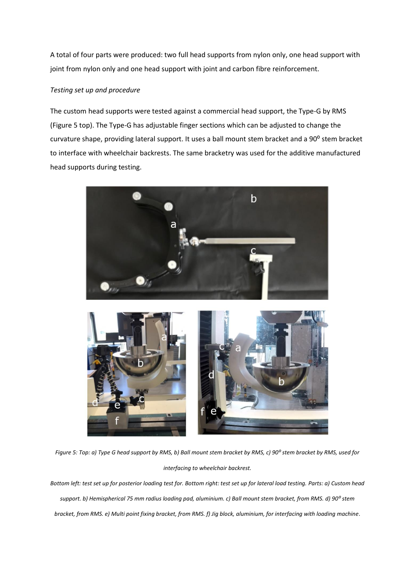A total of four parts were produced: two full head supports from nylon only, one head support with joint from nylon only and one head support with joint and carbon fibre reinforcement.

## *Testing set up and procedure*

The custom head supports were tested against a commercial head support, the Type-G by RMS (Figure 5 top). The Type-G has adjustable finger sections which can be adjusted to change the curvature shape, providing lateral support. It uses a ball mount stem bracket and a 90° stem bracket to interface with wheelchair backrests. The same bracketry was used for the additive manufactured head supports during testing.



*Figure 5: Top: a) Type G head support by RMS, b) Ball mount stem bracket by RMS, c) 90<sup>o</sup> stem bracket by RMS, used for interfacing to wheelchair backrest.* 

*Bottom left: test set up for posterior loading test for. Bottom right: test set up for lateral load testing. Parts: a) Custom head support. b) Hemispherical 75 mm radius loading pad, aluminium. c) Ball mount stem bracket, from RMS. d) 90⁰ stem bracket, from RMS. e) Multi point fixing bracket, from RMS. f) Jig block, aluminium, for interfacing with loading machine.*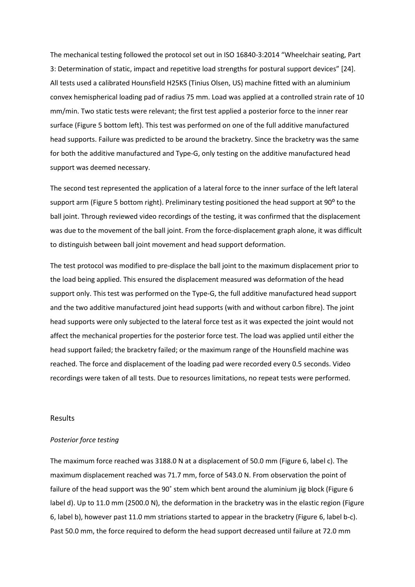The mechanical testing followed the protocol set out in ISO 16840-3:2014 "Wheelchair seating, Part 3: Determination of static, impact and repetitive load strengths for postural support devices" [24]. All tests used a calibrated Hounsfield H25KS (Tinius Olsen, US) machine fitted with an aluminium convex hemispherical loading pad of radius 75 mm. Load was applied at a controlled strain rate of 10 mm/min. Two static tests were relevant; the first test applied a posterior force to the inner rear surface (Figure 5 bottom left). This test was performed on one of the full additive manufactured head supports. Failure was predicted to be around the bracketry. Since the bracketry was the same for both the additive manufactured and Type-G, only testing on the additive manufactured head support was deemed necessary.

The second test represented the application of a lateral force to the inner surface of the left lateral support arm (Figure 5 bottom right). Preliminary testing positioned the head support at 90° to the ball joint. Through reviewed video recordings of the testing, it was confirmed that the displacement was due to the movement of the ball joint. From the force-displacement graph alone, it was difficult to distinguish between ball joint movement and head support deformation.

The test protocol was modified to pre-displace the ball joint to the maximum displacement prior to the load being applied. This ensured the displacement measured was deformation of the head support only. This test was performed on the Type-G, the full additive manufactured head support and the two additive manufactured joint head supports (with and without carbon fibre). The joint head supports were only subjected to the lateral force test as it was expected the joint would not affect the mechanical properties for the posterior force test. The load was applied until either the head support failed; the bracketry failed; or the maximum range of the Hounsfield machine was reached. The force and displacement of the loading pad were recorded every 0.5 seconds. Video recordings were taken of all tests. Due to resources limitations, no repeat tests were performed.

#### Results

#### *Posterior force testing*

The maximum force reached was 3188.0 N at a displacement of 50.0 mm (Figure 6, label c). The maximum displacement reached was 71.7 mm, force of 543.0 N. From observation the point of failure of the head support was the 90˚ stem which bent around the aluminium jig block (Figure 6 label d). Up to 11.0 mm (2500.0 N), the deformation in the bracketry was in the elastic region (Figure 6, label b), however past 11.0 mm striations started to appear in the bracketry (Figure 6, label b-c). Past 50.0 mm, the force required to deform the head support decreased until failure at 72.0 mm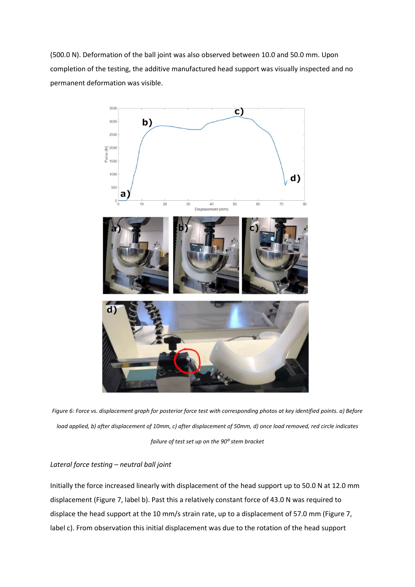(500.0 N). Deformation of the ball joint was also observed between 10.0 and 50.0 mm. Upon completion of the testing, the additive manufactured head support was visually inspected and no permanent deformation was visible.



*Figure 6: Force vs. displacement graph for posterior force test with corresponding photos at key identified points. a) Before load applied, b) after displacement of 10mm, c) after displacement of 50mm, d) once load removed, red circle indicates failure of test set up on the 90⁰ stem bracket* 

## *Lateral force testing – neutral ball joint*

Initially the force increased linearly with displacement of the head support up to 50.0 N at 12.0 mm displacement (Figure 7, label b). Past this a relatively constant force of 43.0 N was required to displace the head support at the 10 mm/s strain rate, up to a displacement of 57.0 mm (Figure 7, label c). From observation this initial displacement was due to the rotation of the head support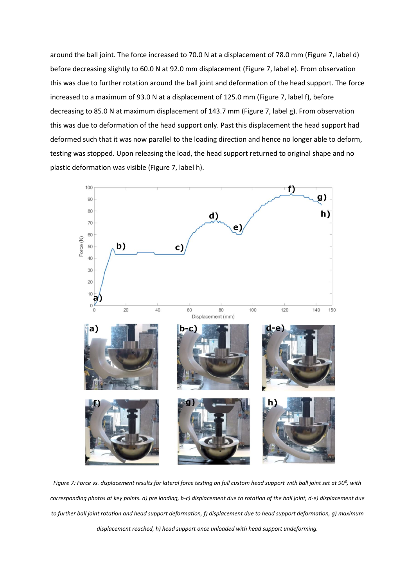around the ball joint. The force increased to 70.0 N at a displacement of 78.0 mm (Figure 7, label d) before decreasing slightly to 60.0 N at 92.0 mm displacement (Figure 7, label e). From observation this was due to further rotation around the ball joint and deformation of the head support. The force increased to a maximum of 93.0 N at a displacement of 125.0 mm (Figure 7, label f), before decreasing to 85.0 N at maximum displacement of 143.7 mm (Figure 7, label g). From observation this was due to deformation of the head support only. Past this displacement the head support had deformed such that it was now parallel to the loading direction and hence no longer able to deform, testing was stopped. Upon releasing the load, the head support returned to original shape and no plastic deformation was visible (Figure 7, label h).



*Figure 7: Force vs. displacement results for lateral force testing on full custom head support with ball joint set at 90⁰, with corresponding photos at key points. a) pre loading, b-c) displacement due to rotation of the ball joint, d-e) displacement due to further ball joint rotation and head support deformation, f) displacement due to head support deformation, g) maximum displacement reached, h) head support once unloaded with head support undeforming.*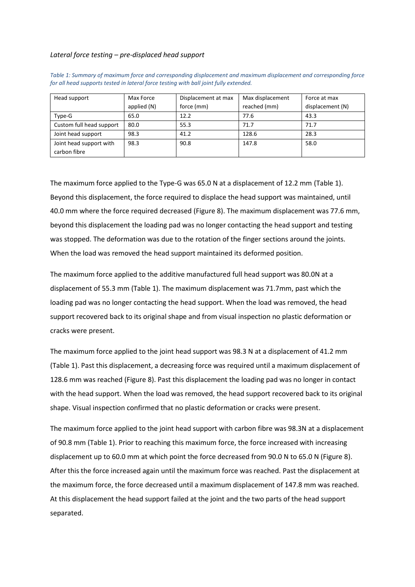#### *Lateral force testing – pre-displaced head support*

| Head support             | Max Force   | Displacement at max | Max displacement | Force at max     |
|--------------------------|-------------|---------------------|------------------|------------------|
|                          | applied (N) | force (mm)          | reached (mm)     | displacement (N) |
| Type-G                   | 65.0        | 12.2                | 77.6             | 43.3             |
| Custom full head support | 80.0        | 55.3                | 71.7             | 71.7             |
| Joint head support       | 98.3        | 41.2                | 128.6            | 28.3             |
| Joint head support with  | 98.3        | 90.8                | 147.8            | 58.0             |
| carbon fibre             |             |                     |                  |                  |

*Table 1: Summary of maximum force and corresponding displacement and maximum displacement and corresponding force for all head supports tested in lateral force testing with ball joint fully extended.*

The maximum force applied to the Type-G was 65.0 N at a displacement of 12.2 mm (Table 1). Beyond this displacement, the force required to displace the head support was maintained, until 40.0 mm where the force required decreased (Figure 8). The maximum displacement was 77.6 mm, beyond this displacement the loading pad was no longer contacting the head support and testing was stopped. The deformation was due to the rotation of the finger sections around the joints. When the load was removed the head support maintained its deformed position.

The maximum force applied to the additive manufactured full head support was 80.0N at a displacement of 55.3 mm (Table 1). The maximum displacement was 71.7mm, past which the loading pad was no longer contacting the head support. When the load was removed, the head support recovered back to its original shape and from visual inspection no plastic deformation or cracks were present.

The maximum force applied to the joint head support was 98.3 N at a displacement of 41.2 mm (Table 1). Past this displacement, a decreasing force was required until a maximum displacement of 128.6 mm was reached (Figure 8). Past this displacement the loading pad was no longer in contact with the head support. When the load was removed, the head support recovered back to its original shape. Visual inspection confirmed that no plastic deformation or cracks were present.

The maximum force applied to the joint head support with carbon fibre was 98.3N at a displacement of 90.8 mm (Table 1). Prior to reaching this maximum force, the force increased with increasing displacement up to 60.0 mm at which point the force decreased from 90.0 N to 65.0 N (Figure 8). After this the force increased again until the maximum force was reached. Past the displacement at the maximum force, the force decreased until a maximum displacement of 147.8 mm was reached. At this displacement the head support failed at the joint and the two parts of the head support separated.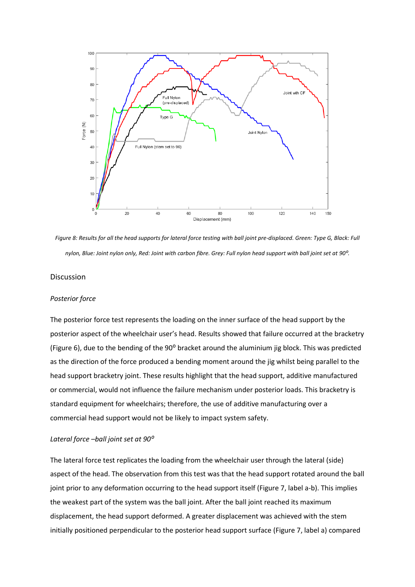

*Figure 8: Results for all the head supports for lateral force testing with ball joint pre-displaced. Green: Type G, Black: Full*  nylon, Blue: Joint nylon only, Red: Joint with carbon fibre. Grey: Full nylon head support with ball joint set at 90<sup>o</sup>.

#### Discussion

#### *Posterior force*

The posterior force test represents the loading on the inner surface of the head support by the posterior aspect of the wheelchair user's head. Results showed that failure occurred at the bracketry (Figure 6), due to the bending of the 90° bracket around the aluminium jig block. This was predicted as the direction of the force produced a bending moment around the jig whilst being parallel to the head support bracketry joint. These results highlight that the head support, additive manufactured or commercial, would not influence the failure mechanism under posterior loads. This bracketry is standard equipment for wheelchairs; therefore, the use of additive manufacturing over a commercial head support would not be likely to impact system safety.

#### *Lateral force –ball joint set at 90⁰*

The lateral force test replicates the loading from the wheelchair user through the lateral (side) aspect of the head. The observation from this test was that the head support rotated around the ball joint prior to any deformation occurring to the head support itself (Figure 7, label a-b). This implies the weakest part of the system was the ball joint. After the ball joint reached its maximum displacement, the head support deformed. A greater displacement was achieved with the stem initially positioned perpendicular to the posterior head support surface (Figure 7, label a) compared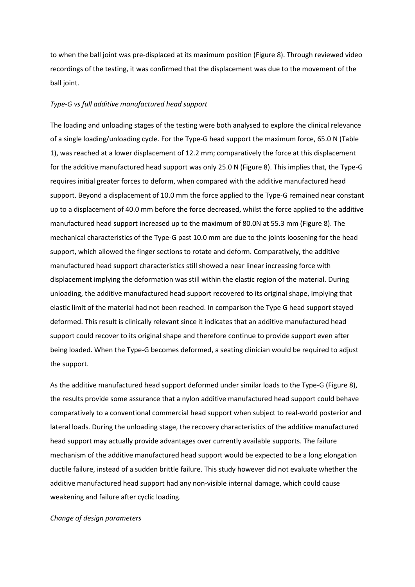to when the ball joint was pre-displaced at its maximum position (Figure 8). Through reviewed video recordings of the testing, it was confirmed that the displacement was due to the movement of the ball joint.

#### *Type-G vs full additive manufactured head support*

The loading and unloading stages of the testing were both analysed to explore the clinical relevance of a single loading/unloading cycle. For the Type-G head support the maximum force, 65.0 N (Table 1), was reached at a lower displacement of 12.2 mm; comparatively the force at this displacement for the additive manufactured head support was only 25.0 N (Figure 8). This implies that, the Type-G requires initial greater forces to deform, when compared with the additive manufactured head support. Beyond a displacement of 10.0 mm the force applied to the Type-G remained near constant up to a displacement of 40.0 mm before the force decreased, whilst the force applied to the additive manufactured head support increased up to the maximum of 80.0N at 55.3 mm (Figure 8). The mechanical characteristics of the Type-G past 10.0 mm are due to the joints loosening for the head support, which allowed the finger sections to rotate and deform. Comparatively, the additive manufactured head support characteristics still showed a near linear increasing force with displacement implying the deformation was still within the elastic region of the material. During unloading, the additive manufactured head support recovered to its original shape, implying that elastic limit of the material had not been reached. In comparison the Type G head support stayed deformed. This result is clinically relevant since it indicates that an additive manufactured head support could recover to its original shape and therefore continue to provide support even after being loaded. When the Type-G becomes deformed, a seating clinician would be required to adjust the support.

As the additive manufactured head support deformed under similar loads to the Type-G (Figure 8), the results provide some assurance that a nylon additive manufactured head support could behave comparatively to a conventional commercial head support when subject to real-world posterior and lateral loads. During the unloading stage, the recovery characteristics of the additive manufactured head support may actually provide advantages over currently available supports. The failure mechanism of the additive manufactured head support would be expected to be a long elongation ductile failure, instead of a sudden brittle failure. This study however did not evaluate whether the additive manufactured head support had any non-visible internal damage, which could cause weakening and failure after cyclic loading.

#### *Change of design parameters*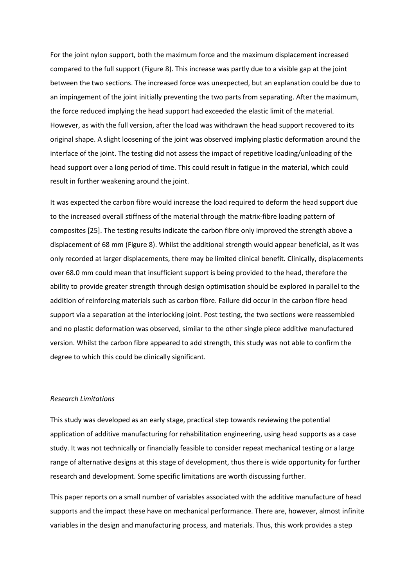For the joint nylon support, both the maximum force and the maximum displacement increased compared to the full support (Figure 8). This increase was partly due to a visible gap at the joint between the two sections. The increased force was unexpected, but an explanation could be due to an impingement of the joint initially preventing the two parts from separating. After the maximum, the force reduced implying the head support had exceeded the elastic limit of the material. However, as with the full version, after the load was withdrawn the head support recovered to its original shape. A slight loosening of the joint was observed implying plastic deformation around the interface of the joint. The testing did not assess the impact of repetitive loading/unloading of the head support over a long period of time. This could result in fatigue in the material, which could result in further weakening around the joint.

It was expected the carbon fibre would increase the load required to deform the head support due to the increased overall stiffness of the material through the matrix-fibre loading pattern of composites [25]. The testing results indicate the carbon fibre only improved the strength above a displacement of 68 mm (Figure 8). Whilst the additional strength would appear beneficial, as it was only recorded at larger displacements, there may be limited clinical benefit. Clinically, displacements over 68.0 mm could mean that insufficient support is being provided to the head, therefore the ability to provide greater strength through design optimisation should be explored in parallel to the addition of reinforcing materials such as carbon fibre. Failure did occur in the carbon fibre head support via a separation at the interlocking joint. Post testing, the two sections were reassembled and no plastic deformation was observed, similar to the other single piece additive manufactured version. Whilst the carbon fibre appeared to add strength, this study was not able to confirm the degree to which this could be clinically significant.

#### *Research Limitations*

This study was developed as an early stage, practical step towards reviewing the potential application of additive manufacturing for rehabilitation engineering, using head supports as a case study. It was not technically or financially feasible to consider repeat mechanical testing or a large range of alternative designs at this stage of development, thus there is wide opportunity for further research and development. Some specific limitations are worth discussing further.

This paper reports on a small number of variables associated with the additive manufacture of head supports and the impact these have on mechanical performance. There are, however, almost infinite variables in the design and manufacturing process, and materials. Thus, this work provides a step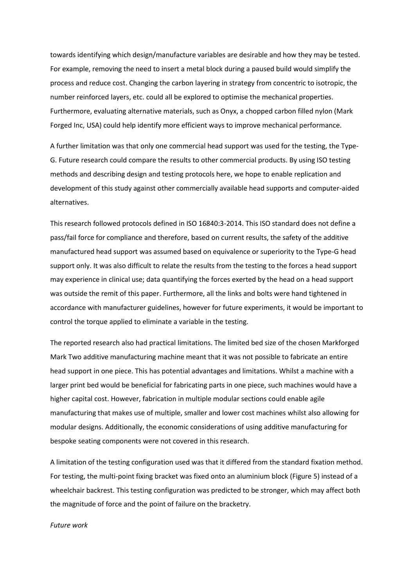towards identifying which design/manufacture variables are desirable and how they may be tested. For example, removing the need to insert a metal block during a paused build would simplify the process and reduce cost. Changing the carbon layering in strategy from concentric to isotropic, the number reinforced layers, etc. could all be explored to optimise the mechanical properties. Furthermore, evaluating alternative materials, such as Onyx, a chopped carbon filled nylon (Mark Forged Inc, USA) could help identify more efficient ways to improve mechanical performance.

A further limitation was that only one commercial head support was used for the testing, the Type-G. Future research could compare the results to other commercial products. By using ISO testing methods and describing design and testing protocols here, we hope to enable replication and development of this study against other commercially available head supports and computer-aided alternatives.

This research followed protocols defined in ISO 16840:3-2014. This ISO standard does not define a pass/fail force for compliance and therefore, based on current results, the safety of the additive manufactured head support was assumed based on equivalence or superiority to the Type-G head support only. It was also difficult to relate the results from the testing to the forces a head support may experience in clinical use; data quantifying the forces exerted by the head on a head support was outside the remit of this paper. Furthermore, all the links and bolts were hand tightened in accordance with manufacturer guidelines, however for future experiments, it would be important to control the torque applied to eliminate a variable in the testing.

The reported research also had practical limitations. The limited bed size of the chosen Markforged Mark Two additive manufacturing machine meant that it was not possible to fabricate an entire head support in one piece. This has potential advantages and limitations. Whilst a machine with a larger print bed would be beneficial for fabricating parts in one piece, such machines would have a higher capital cost. However, fabrication in multiple modular sections could enable agile manufacturing that makes use of multiple, smaller and lower cost machines whilst also allowing for modular designs. Additionally, the economic considerations of using additive manufacturing for bespoke seating components were not covered in this research.

A limitation of the testing configuration used was that it differed from the standard fixation method. For testing, the multi-point fixing bracket was fixed onto an aluminium block (Figure 5) instead of a wheelchair backrest. This testing configuration was predicted to be stronger, which may affect both the magnitude of force and the point of failure on the bracketry.

*Future work*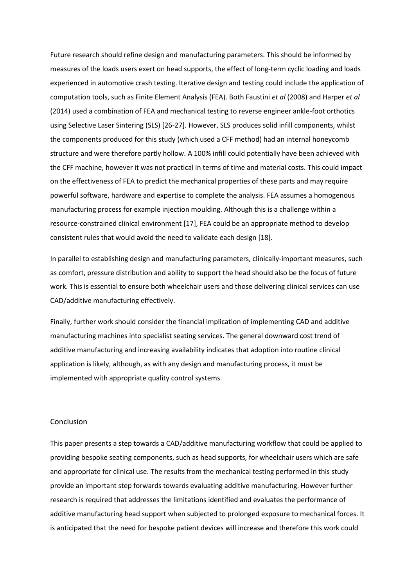Future research should refine design and manufacturing parameters. This should be informed by measures of the loads users exert on head supports, the effect of long-term cyclic loading and loads experienced in automotive crash testing. Iterative design and testing could include the application of computation tools, such as Finite Element Analysis (FEA). Both Faustini *et al* (2008) and Harper *et al* (2014) used a combination of FEA and mechanical testing to reverse engineer ankle-foot orthotics using Selective Laser Sintering (SLS) [26-27]. However, SLS produces solid infill components, whilst the components produced for this study (which used a CFF method) had an internal honeycomb structure and were therefore partly hollow. A 100% infill could potentially have been achieved with the CFF machine, however it was not practical in terms of time and material costs. This could impact on the effectiveness of FEA to predict the mechanical properties of these parts and may require powerful software, hardware and expertise to complete the analysis. FEA assumes a homogenous manufacturing process for example injection moulding. Although this is a challenge within a resource-constrained clinical environment [17], FEA could be an appropriate method to develop consistent rules that would avoid the need to validate each design [18].

In parallel to establishing design and manufacturing parameters, clinically-important measures, such as comfort, pressure distribution and ability to support the head should also be the focus of future work. This is essential to ensure both wheelchair users and those delivering clinical services can use CAD/additive manufacturing effectively.

Finally, further work should consider the financial implication of implementing CAD and additive manufacturing machines into specialist seating services. The general downward cost trend of additive manufacturing and increasing availability indicates that adoption into routine clinical application is likely, although, as with any design and manufacturing process, it must be implemented with appropriate quality control systems.

#### Conclusion

This paper presents a step towards a CAD/additive manufacturing workflow that could be applied to providing bespoke seating components, such as head supports, for wheelchair users which are safe and appropriate for clinical use. The results from the mechanical testing performed in this study provide an important step forwards towards evaluating additive manufacturing. However further research is required that addresses the limitations identified and evaluates the performance of additive manufacturing head support when subjected to prolonged exposure to mechanical forces. It is anticipated that the need for bespoke patient devices will increase and therefore this work could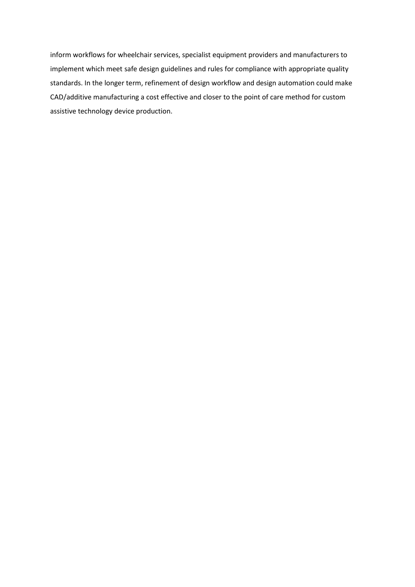inform workflows for wheelchair services, specialist equipment providers and manufacturers to implement which meet safe design guidelines and rules for compliance with appropriate quality standards. In the longer term, refinement of design workflow and design automation could make CAD/additive manufacturing a cost effective and closer to the point of care method for custom assistive technology device production.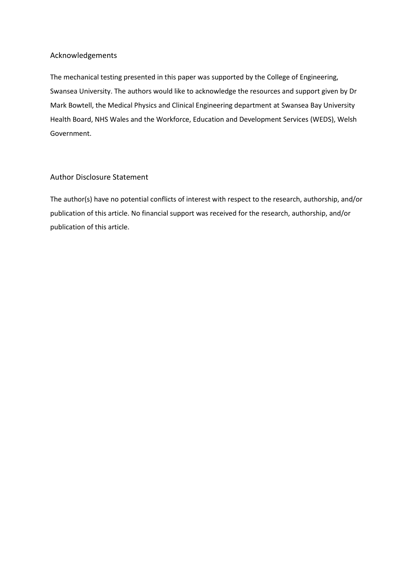## Acknowledgements

The mechanical testing presented in this paper was supported by the College of Engineering, Swansea University. The authors would like to acknowledge the resources and support given by Dr Mark Bowtell, the Medical Physics and Clinical Engineering department at Swansea Bay University Health Board, NHS Wales and the Workforce, Education and Development Services (WEDS), Welsh Government.

## Author Disclosure Statement

The author(s) have no potential conflicts of interest with respect to the research, authorship, and/or publication of this article. No financial support was received for the research, authorship, and/or publication of this article.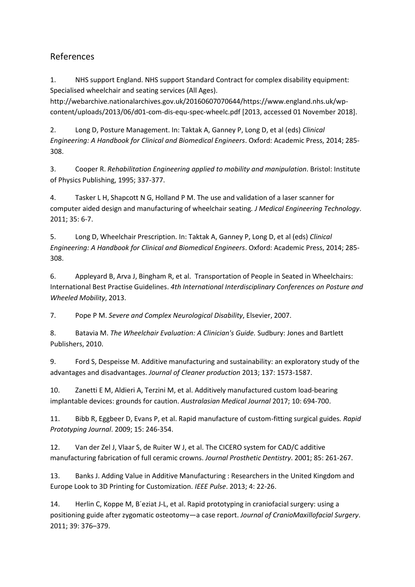# References

1. NHS support England. NHS support Standard Contract for complex disability equipment: Specialised wheelchair and seating services (All Ages).

http://webarchive.nationalarchives.gov.uk/20160607070644/https://www.england.nhs.uk/wpcontent/uploads/2013/06/d01-com-dis-equ-spec-wheelc.pdf [2013, accessed 01 November 2018].

2. Long D, Posture Management. In: Taktak A, Ganney P, Long D, et al (eds) *Clinical Engineering: A Handbook for Clinical and Biomedical Engineers*. Oxford: Academic Press, 2014; 285- 308.

3. Cooper R. *Rehabilitation Engineering applied to mobility and manipulation*. Bristol: Institute of Physics Publishing, 1995; 337-377.

4. Tasker L H, Shapcott N G, Holland P M. The use and validation of a laser scanner for computer aided design and manufacturing of wheelchair seating*. J Medical Engineering Technology*. 2011; 35: 6-7.

5. Long D, Wheelchair Prescription. In: Taktak A, Ganney P, Long D, et al (eds) *Clinical Engineering: A Handbook for Clinical and Biomedical Engineers*. Oxford: Academic Press, 2014; 285- 308.

6. Appleyard B, Arva J, Bingham R, et al. Transportation of People in Seated in Wheelchairs: International Best Practise Guidelines. *4th International Interdisciplinary Conferences on Posture and Wheeled Mobility*, 2013.

7. Pope P M. *Severe and Complex Neurological Disability*, Elsevier, 2007.

8. Batavia M. *The Wheelchair Evaluation: A Clinician's Guide.* Sudbury: Jones and Bartlett Publishers, 2010.

9. Ford S, Despeisse M. Additive manufacturing and sustainability: an exploratory study of the advantages and disadvantages. *Journal of Cleaner production* 2013; 137: 1573-1587.

10. Zanetti E M, Aldieri A, Terzini M, et al. Additively manufactured custom load-bearing implantable devices: grounds for caution. *Australasian Medical Journal* 2017; 10: 694-700.

11. Bibb R, Eggbeer D, Evans P, et al. Rapid manufacture of custom-fitting surgical guides*. Rapid Prototyping Journal*. 2009; 15: 246-354.

12. Van der Zel J, Vlaar S, de Ruiter W J, et al. The CICERO system for CAD/C additive manufacturing fabrication of full ceramic crowns. *Journal Prosthetic Dentistry*. 2001; 85: 261-267.

13. Banks J. Adding Value in Additive Manufacturing : Researchers in the United Kingdom and Europe Look to 3D Printing for Customization. *IEEE Pulse*. 2013; 4: 22-26.

14. Herlin C, Koppe M, B´eziat J-L, et al. Rapid prototyping in craniofacial surgery: using a positioning guide after zygomatic osteotomy—a case report. *Journal of CranioMaxillofacial Surgery*. 2011; 39: 376–379.